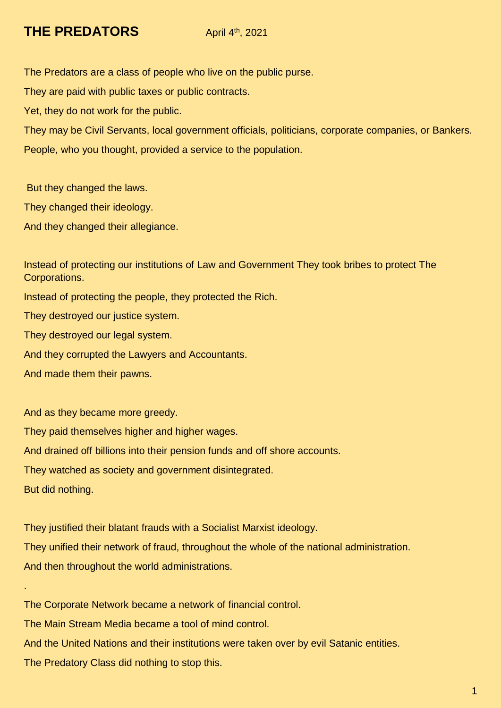## **THE PREDATORS** April 4th, 2021

The Predators are a class of people who live on the public purse.

They are paid with public taxes or public contracts.

Yet, they do not work for the public.

They may be Civil Servants, local government officials, politicians, corporate companies, or Bankers. People, who you thought, provided a service to the population.

But they changed the laws.

They changed their ideology.

And they changed their allegiance.

Instead of protecting our institutions of Law and Government They took bribes to protect The Corporations.

Instead of protecting the people, they protected the Rich.

They destroyed our justice system.

They destroyed our legal system.

And they corrupted the Lawyers and Accountants.

And made them their pawns.

And as they became more greedy.

They paid themselves higher and higher wages.

And drained off billions into their pension funds and off shore accounts.

They watched as society and government disintegrated.

But did nothing.

.

They justified their blatant frauds with a Socialist Marxist ideology. They unified their network of fraud, throughout the whole of the national administration. And then throughout the world administrations.

The Corporate Network became a network of financial control.

The Main Stream Media became a tool of mind control.

And the United Nations and their institutions were taken over by evil Satanic entities.

The Predatory Class did nothing to stop this.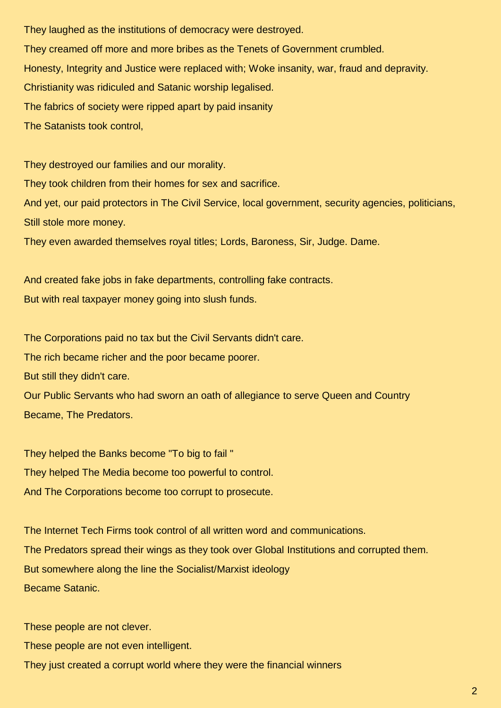They laughed as the institutions of democracy were destroyed. They creamed off more and more bribes as the Tenets of Government crumbled. Honesty, Integrity and Justice were replaced with; Woke insanity, war, fraud and depravity. Christianity was ridiculed and Satanic worship legalised. The fabrics of society were ripped apart by paid insanity The Satanists took control,

They destroyed our families and our morality. They took children from their homes for sex and sacrifice. And yet, our paid protectors in The Civil Service, local government, security agencies, politicians, Still stole more money.

They even awarded themselves royal titles; Lords, Baroness, Sir, Judge. Dame.

And created fake jobs in fake departments, controlling fake contracts. But with real taxpayer money going into slush funds.

The Corporations paid no tax but the Civil Servants didn't care.

The rich became richer and the poor became poorer.

But still they didn't care.

Our Public Servants who had sworn an oath of allegiance to serve Queen and Country Became, The Predators.

They helped the Banks become "To big to fail " They helped The Media become too powerful to control. And The Corporations become too corrupt to prosecute.

The Internet Tech Firms took control of all written word and communications. The Predators spread their wings as they took over Global Institutions and corrupted them. But somewhere along the line the Socialist/Marxist ideology Became Satanic.

These people are not clever.

These people are not even intelligent.

They just created a corrupt world where they were the financial winners